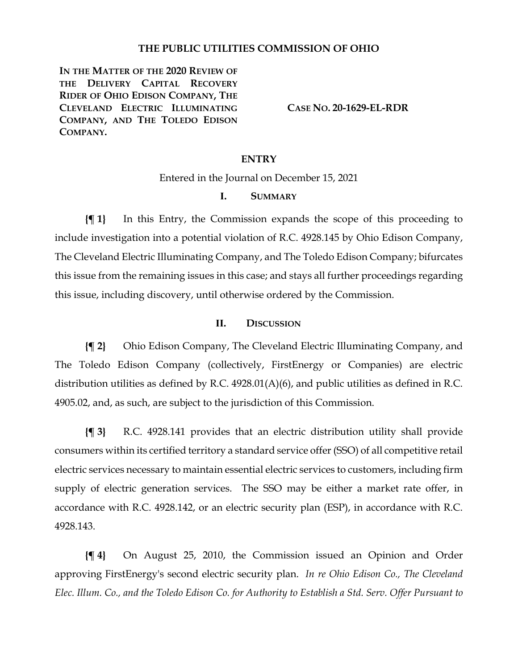### **THE PUBLIC UTILITIES COMMISSION OF OHIO**

**IN THE MATTER OF THE 2020 REVIEW OF THE DELIVERY CAPITAL RECOVERY RIDER OF OHIO EDISON COMPANY, THE CLEVELAND ELECTRIC ILLUMINATING COMPANY, AND THE TOLEDO EDISON COMPANY.**

**CASE NO. 20-1629-EL-RDR**

### **ENTRY**

Entered in the Journal on December 15, 2021

### **I. SUMMARY**

**{¶ 1}** In this Entry, the Commission expands the scope of this proceeding to include investigation into a potential violation of R.C. 4928.145 by Ohio Edison Company, The Cleveland Electric Illuminating Company, and The Toledo Edison Company; bifurcates this issue from the remaining issues in this case; and stays all further proceedings regarding this issue, including discovery, until otherwise ordered by the Commission.

#### **II. DISCUSSION**

**{¶ 2}** Ohio Edison Company, The Cleveland Electric Illuminating Company, and The Toledo Edison Company (collectively, FirstEnergy or Companies) are electric distribution utilities as defined by R.C. 4928.01(A)(6), and public utilities as defined in R.C. 4905.02, and, as such, are subject to the jurisdiction of this Commission.

**{¶ 3}** R.C. 4928.141 provides that an electric distribution utility shall provide consumers within its certified territory a standard service offer (SSO) of all competitive retail electric services necessary to maintain essential electric services to customers, including firm supply of electric generation services. The SSO may be either a market rate offer, in accordance with R.C. 4928.142, or an electric security plan (ESP), in accordance with R.C. 4928.143.

**{¶ 4}** On August 25, 2010, the Commission issued an Opinion and Order approving FirstEnergy's second electric security plan. *In re Ohio Edison Co., The Cleveland Elec. Illum. Co., and the Toledo Edison Co. for Authority to Establish a Std. Serv. Offer Pursuant to*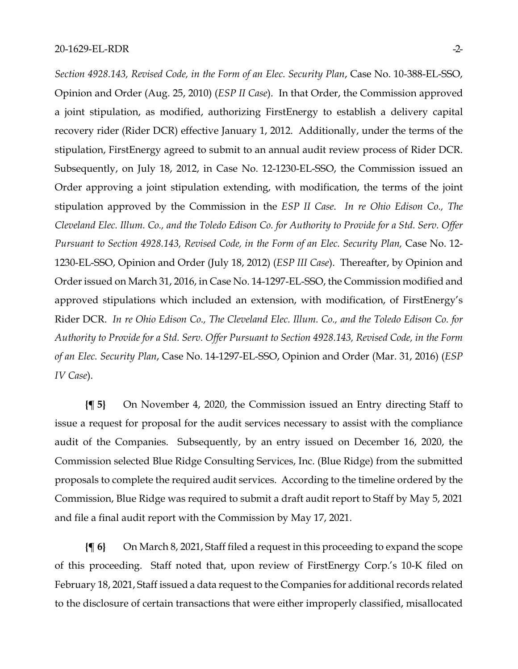*Section 4928.143, Revised Code, in the Form of an Elec. Security Plan*, Case No. 10-388-EL-SSO, Opinion and Order (Aug. 25, 2010) (*ESP II Case*). In that Order, the Commission approved a joint stipulation, as modified, authorizing FirstEnergy to establish a delivery capital recovery rider (Rider DCR) effective January 1, 2012. Additionally, under the terms of the stipulation, FirstEnergy agreed to submit to an annual audit review process of Rider DCR. Subsequently, on July 18, 2012, in Case No. 12-1230-EL-SSO, the Commission issued an Order approving a joint stipulation extending, with modification, the terms of the joint stipulation approved by the Commission in the *ESP II Case*. *In re Ohio Edison Co., The Cleveland Elec. Illum. Co., and the Toledo Edison Co. for Authority to Provide for a Std. Serv. Offer Pursuant to Section 4928.143, Revised Code, in the Form of an Elec. Security Plan,* Case No. 12- 1230-EL-SSO, Opinion and Order (July 18, 2012) (*ESP III Case*). Thereafter, by Opinion and Order issued on March 31, 2016, in Case No. 14-1297-EL-SSO, the Commission modified and approved stipulations which included an extension, with modification, of FirstEnergy's Rider DCR. *In re Ohio Edison Co., The Cleveland Elec. Illum. Co., and the Toledo Edison Co. for Authority to Provide for a Std. Serv. Offer Pursuant to Section 4928.143, Revised Code, in the Form of an Elec. Security Plan*, Case No. 14-1297-EL-SSO, Opinion and Order (Mar. 31, 2016) (*ESP* 

*IV Case*).

**{¶ 5}** On November 4, 2020, the Commission issued an Entry directing Staff to issue a request for proposal for the audit services necessary to assist with the compliance audit of the Companies. Subsequently, by an entry issued on December 16, 2020, the Commission selected Blue Ridge Consulting Services, Inc. (Blue Ridge) from the submitted proposals to complete the required audit services. According to the timeline ordered by the Commission, Blue Ridge was required to submit a draft audit report to Staff by May 5, 2021 and file a final audit report with the Commission by May 17, 2021.

**{¶ 6}** On March 8, 2021, Staff filed a request in this proceeding to expand the scope of this proceeding. Staff noted that, upon review of FirstEnergy Corp.'s 10-K filed on February 18, 2021, Staff issued a data request to the Companies for additional records related to the disclosure of certain transactions that were either improperly classified, misallocated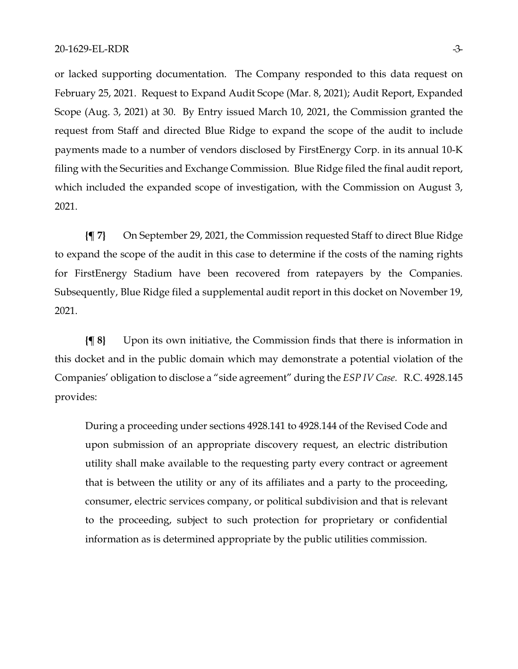or lacked supporting documentation. The Company responded to this data request on February 25, 2021. Request to Expand Audit Scope (Mar. 8, 2021); Audit Report, Expanded Scope (Aug. 3, 2021) at 30. By Entry issued March 10, 2021, the Commission granted the request from Staff and directed Blue Ridge to expand the scope of the audit to include payments made to a number of vendors disclosed by FirstEnergy Corp. in its annual 10-K filing with the Securities and Exchange Commission. Blue Ridge filed the final audit report, which included the expanded scope of investigation, with the Commission on August 3, 2021.

**{¶ 7}** On September 29, 2021, the Commission requested Staff to direct Blue Ridge to expand the scope of the audit in this case to determine if the costs of the naming rights for FirstEnergy Stadium have been recovered from ratepayers by the Companies. Subsequently, Blue Ridge filed a supplemental audit report in this docket on November 19, 2021.

**{¶ 8}** Upon its own initiative, the Commission finds that there is information in this docket and in the public domain which may demonstrate a potential violation of the Companies' obligation to disclose a "side agreement" during the *ESP IV Case.* R.C. 4928.145 provides:

During a proceeding under sections 4928.141 to 4928.144 of the Revised Code and upon submission of an appropriate discovery request, an electric distribution utility shall make available to the requesting party every contract or agreement that is between the utility or any of its affiliates and a party to the proceeding, consumer, electric services company, or political subdivision and that is relevant to the proceeding, subject to such protection for proprietary or confidential information as is determined appropriate by the public utilities commission.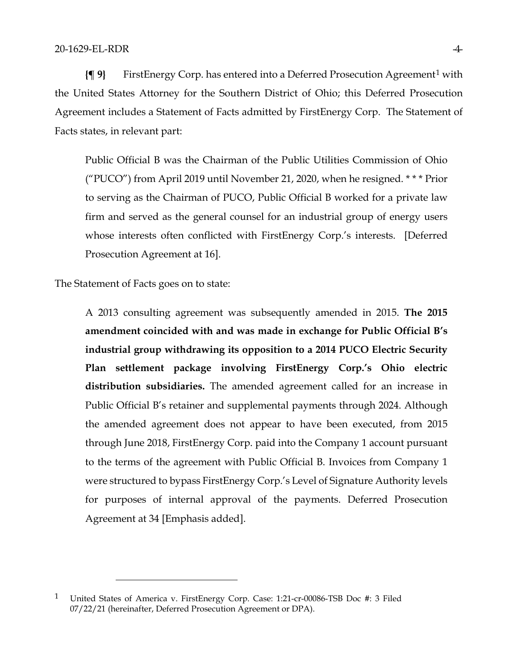**{** $\left[ \phi \right]$  FirstEnergy Corp. has entered into a Deferred Prosecution Agreement<sup>[1](#page-3-0)</sup> with the United States Attorney for the Southern District of Ohio; this Deferred Prosecution Agreement includes a Statement of Facts admitted by FirstEnergy Corp. The Statement of Facts states, in relevant part:

Public Official B was the Chairman of the Public Utilities Commission of Ohio ("PUCO") from April 2019 until November 21, 2020, when he resigned. \* \* \* Prior to serving as the Chairman of PUCO, Public Official B worked for a private law firm and served as the general counsel for an industrial group of energy users whose interests often conflicted with FirstEnergy Corp.'s interests. [Deferred Prosecution Agreement at 16].

The Statement of Facts goes on to state:

A 2013 consulting agreement was subsequently amended in 2015. **The 2015 amendment coincided with and was made in exchange for Public Official B's industrial group withdrawing its opposition to a 2014 PUCO Electric Security Plan settlement package involving FirstEnergy Corp.'s Ohio electric distribution subsidiaries.** The amended agreement called for an increase in Public Official B's retainer and supplemental payments through 2024. Although the amended agreement does not appear to have been executed, from 2015 through June 2018, FirstEnergy Corp. paid into the Company 1 account pursuant to the terms of the agreement with Public Official B. Invoices from Company 1 were structured to bypass FirstEnergy Corp.'s Level of Signature Authority levels for purposes of internal approval of the payments. Deferred Prosecution Agreement at 34 [Emphasis added].

<span id="page-3-0"></span><sup>1</sup> United States of America v. FirstEnergy Corp. Case: 1:21-cr-00086-TSB Doc #: 3 Filed 07/22/21 (hereinafter, Deferred Prosecution Agreement or DPA).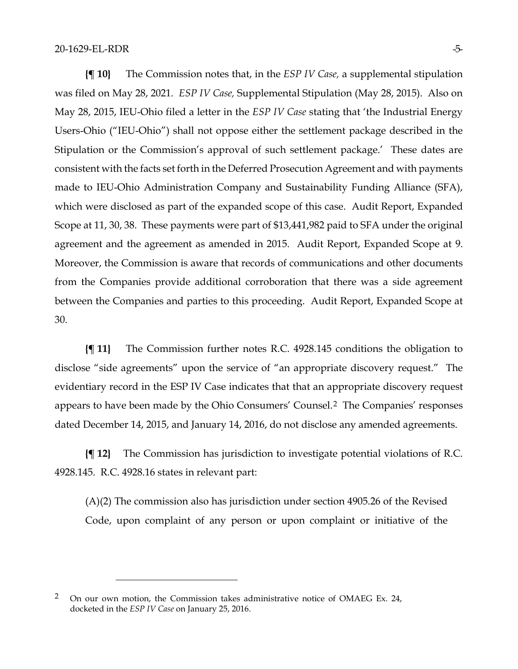**{¶ 10}** The Commission notes that, in the *ESP IV Case,* a supplemental stipulation was filed on May 28, 2021. *ESP IV Case,* Supplemental Stipulation (May 28, 2015). Also on May 28, 2015, IEU-Ohio filed a letter in the *ESP IV Case* stating that 'the Industrial Energy Users-Ohio ("IEU-Ohio") shall not oppose either the settlement package described in the Stipulation or the Commission's approval of such settlement package.' These dates are consistent with the facts set forth in the Deferred Prosecution Agreement and with payments made to IEU-Ohio Administration Company and Sustainability Funding Alliance (SFA), which were disclosed as part of the expanded scope of this case. Audit Report, Expanded Scope at 11, 30, 38. These payments were part of \$13,441,982 paid to SFA under the original agreement and the agreement as amended in 2015. Audit Report, Expanded Scope at 9. Moreover, the Commission is aware that records of communications and other documents from the Companies provide additional corroboration that there was a side agreement between the Companies and parties to this proceeding. Audit Report, Expanded Scope at 30.

**{¶ 11}** The Commission further notes R.C. 4928.145 conditions the obligation to disclose "side agreements" upon the service of "an appropriate discovery request." The evidentiary record in the ESP IV Case indicates that that an appropriate discovery request appears to have been made by the Ohio Consumers' Counsel.[2](#page-4-0) The Companies' responses dated December 14, 2015, and January 14, 2016, do not disclose any amended agreements.

**{¶ 12}** The Commission has jurisdiction to investigate potential violations of R.C. 4928.145. R.C. 4928.16 states in relevant part:

(A)(2) The commission also has jurisdiction under section 4905.26 of the Revised Code, upon complaint of any person or upon complaint or initiative of the

<span id="page-4-0"></span><sup>&</sup>lt;sup>2</sup> On our own motion, the Commission takes administrative notice of OMAEG Ex. 24, docketed in the *ESP IV Case* on January 25, 2016.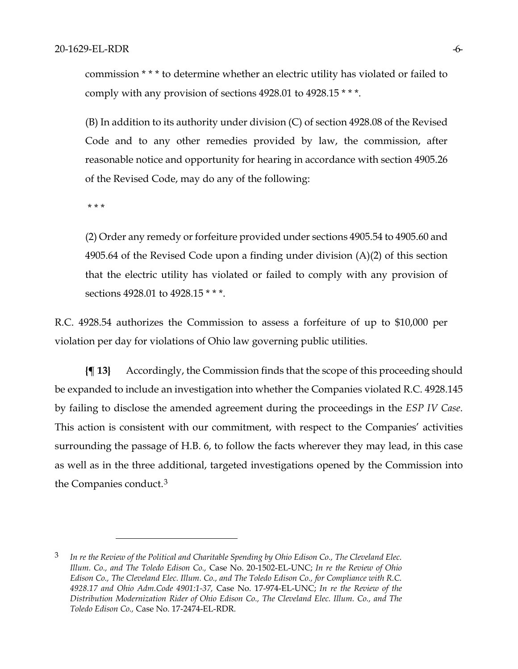commission \* \* \* to determine whether an electric utility has violated or failed to comply with any provision of sections 4928.01 to 4928.15 \*\*\*.

(B) In addition to its authority under division (C) of section 4928.08 of the Revised Code and to any other remedies provided by law, the commission, after reasonable notice and opportunity for hearing in accordance with section 4905.26 of the Revised Code, may do any of the following:

\* \* \*

(2) Order any remedy or forfeiture provided under sections 4905.54 to 4905.60 and 4905.64 of the Revised Code upon a finding under division (A)(2) of this section that the electric utility has violated or failed to comply with any provision of sections 4928.01 to 4928.15 \* \* \*.

R.C. 4928.54 authorizes the Commission to assess a forfeiture of up to \$10,000 per violation per day for violations of Ohio law governing public utilities.

**{¶ 13}** Accordingly, the Commission finds that the scope of this proceeding should be expanded to include an investigation into whether the Companies violated R.C. 4928.145 by failing to disclose the amended agreement during the proceedings in the *ESP IV Case*. This action is consistent with our commitment, with respect to the Companies' activities surrounding the passage of H.B. 6, to follow the facts wherever they may lead, in this case as well as in the three additional, targeted investigations opened by the Commission into the Companies conduct.[3](#page-5-0)

<span id="page-5-0"></span><sup>3</sup> *In re the Review of the Political and Charitable Spending by Ohio Edison Co., The Cleveland Elec. Illum. Co., and The Toledo Edison Co.,* Case No. 20-1502-EL-UNC; *In re the Review of Ohio Edison Co., The Cleveland Elec. Illum. Co., and The Toledo Edison Co., for Compliance with R.C. 4928.17 and Ohio Adm.Code 4901:1-37,* Case No. 17-974-EL-UNC; *In re the Review of the Distribution Modernization Rider of Ohio Edison Co., The Cleveland Elec. Illum. Co., and The Toledo Edison Co.,* Case No. 17-2474-EL-RDR.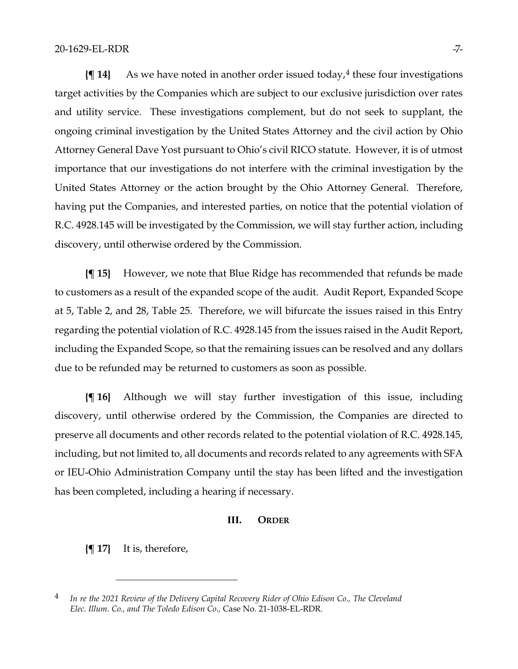**{¶ 14}** As we have noted in another order issued today,[4](#page-6-0) these four investigations target activities by the Companies which are subject to our exclusive jurisdiction over rates and utility service. These investigations complement, but do not seek to supplant, the ongoing criminal investigation by the United States Attorney and the civil action by Ohio Attorney General Dave Yost pursuant to Ohio's civil RICO statute. However, it is of utmost importance that our investigations do not interfere with the criminal investigation by the United States Attorney or the action brought by the Ohio Attorney General. Therefore, having put the Companies, and interested parties, on notice that the potential violation of R.C. 4928.145 will be investigated by the Commission, we will stay further action, including discovery, until otherwise ordered by the Commission.

**{¶ 15}** However, we note that Blue Ridge has recommended that refunds be made to customers as a result of the expanded scope of the audit. Audit Report, Expanded Scope at 5, Table 2, and 28, Table 25. Therefore, we will bifurcate the issues raised in this Entry regarding the potential violation of R.C. 4928.145 from the issues raised in the Audit Report, including the Expanded Scope, so that the remaining issues can be resolved and any dollars due to be refunded may be returned to customers as soon as possible.

**{¶ 16}** Although we will stay further investigation of this issue, including discovery, until otherwise ordered by the Commission, the Companies are directed to preserve all documents and other records related to the potential violation of R.C. 4928.145, including, but not limited to, all documents and records related to any agreements with SFA or IEU-Ohio Administration Company until the stay has been lifted and the investigation has been completed, including a hearing if necessary.

### **III. ORDER**

**{¶ 17}** It is, therefore,

<span id="page-6-0"></span><sup>4</sup> *In re the 2021 Review of the Delivery Capital Recovery Rider of Ohio Edison Co., The Cleveland Elec. Illum. Co., and The Toledo Edison Co.,* Case No. 21-1038-EL-RDR.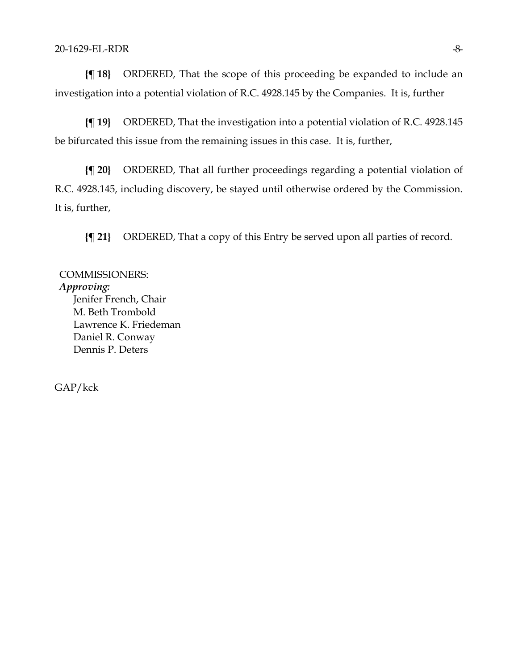**{¶ 18}** ORDERED, That the scope of this proceeding be expanded to include an investigation into a potential violation of R.C. 4928.145 by the Companies. It is, further

**{¶ 19}** ORDERED, That the investigation into a potential violation of R.C. 4928.145 be bifurcated this issue from the remaining issues in this case. It is, further,

**{¶ 20}** ORDERED, That all further proceedings regarding a potential violation of R.C. 4928.145, including discovery, be stayed until otherwise ordered by the Commission. It is, further,

**{¶ 21}** ORDERED, That a copy of this Entry be served upon all parties of record.

COMMISSIONERS: *Approving:*  Jenifer French, Chair M. Beth Trombold Lawrence K. Friedeman Daniel R. Conway Dennis P. Deters

GAP/kck